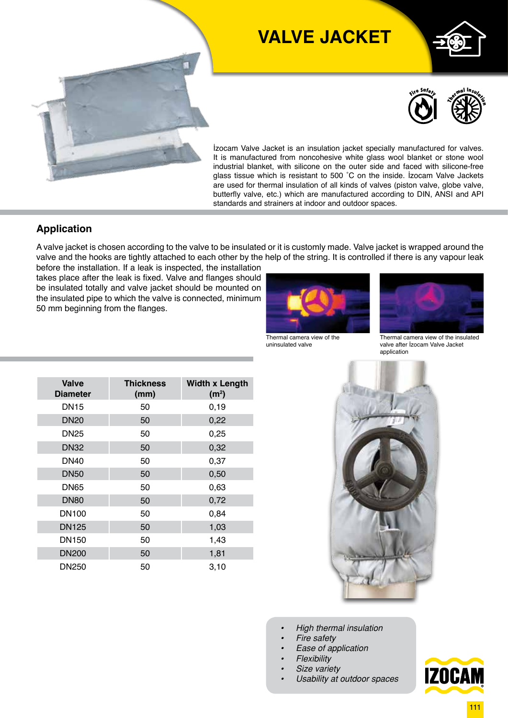

# **VALVE JACKET**





İzocam Valve Jacket is an insulation jacket specially manufactured for valves. It is manufactured from noncohesive white glass wool blanket or stone wool industrial blanket, with silicone on the outer side and faced with silicone-free glass tissue which is resistant to 500 ˚C on the inside. İzocam Valve Jackets are used for thermal insulation of all kinds of valves (piston valve, globe valve, butterfly valve, etc.) which are manufactured according to DIN, ANSI and API standards and strainers at indoor and outdoor spaces.

#### **Application**

A valve jacket is chosen according to the valve to be insulated or it is customly made. Valve jacket is wrapped around the valve and the hooks are tightly attached to each other by the help of the string. It is controlled if there is any vapour leak

before the installation. If a leak is inspected, the installation takes place after the leak is fixed. Valve and flanges should be insulated totally and valve jacket should be mounted on the insulated pipe to which the valve is connected, minimum 50 mm beginning from the flanges.



Thermal camera view of the uninsulated valve



Thermal camera view of the insulated valve after İzocam Valve Jacket application



- *• High thermal insulation*
- *• Fire safety*
- *• Ease of application*
- *• Flexibility*
- *• Size variety*
- *• Usability at outdoor spaces*

| <b>Valve</b><br><b>Diameter</b> | <b>Thickness</b><br>(mm) | <b>Width x Length</b><br>(m <sup>2</sup> ) |
|---------------------------------|--------------------------|--------------------------------------------|
| <b>DN15</b>                     | 50                       | 0, 19                                      |
| <b>DN20</b>                     | 50                       | 0,22                                       |
| <b>DN25</b>                     | 50                       | 0,25                                       |
| <b>DN32</b>                     | 50                       | 0,32                                       |
| <b>DN40</b>                     | 50                       | 0,37                                       |
| <b>DN50</b>                     | 50                       | 0,50                                       |
| <b>DN65</b>                     | 50                       | 0,63                                       |
| <b>DN80</b>                     | 50                       | 0,72                                       |
| DN <sub>100</sub>               | 50                       | 0,84                                       |
| <b>DN125</b>                    | 50                       | 1,03                                       |
| DN <sub>150</sub>               | 50                       | 1,43                                       |
| <b>DN200</b>                    | 50                       | 1,81                                       |
| DN250                           | 50                       | 3,10                                       |

**iZOCAM**